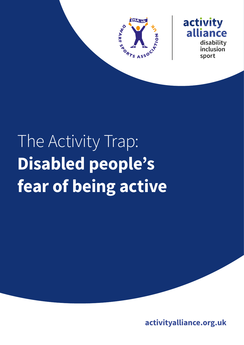



# The Activity Trap: **Disabled people's fear of being active**

**activityalliance.org.uk**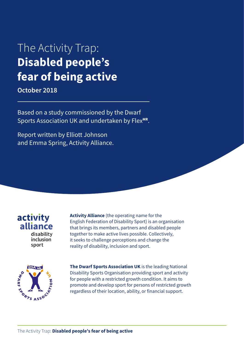# The Activity Trap: **Disabled people's fear of being active**

**October 2018**

Based on a study commissioned by the Dwarf Sports Association UK and undertaken by Flex<sup>MR</sup>.

Report written by Elliott Johnson and Emma Spring, Activity Alliance.

activity alliance disability inclusion sport

**Activity Alliance** (the operating name for the English Federation of Disability Sport) is an organisation that brings its members, partners and disabled people together to make active lives possible. Collectively, it seeks to challenge perceptions and change the reality of disability, inclusion and sport.



**The Dwarf Sports Association UK** is the leading National Disability Sports Organisation providing sport and activity for people with a restricted growth condition. It aims to promote and develop sport for persons of restricted growth regardless of their location, ability, or financial support.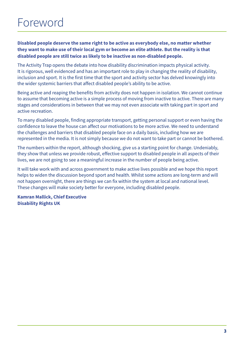**Disabled people deserve the same right to be active as everybody else, no matter whether they want to make use of their local gym or become an elite athlete. But the reality is that disabled people are still twice as likely to be inactive as non-disabled people.**

The Activity Trap opens the debate into how disability discrimination impacts physical activity. It is rigorous, well evidenced and has an important role to play in changing the reality of disability, inclusion and sport. It is the first time that the sport and activity sector has delved knowingly into the wider systemic barriers that affect disabled people's ability to be active.

Being active and reaping the benefits from activity does not happen in isolation. We cannot continue to assume that becoming active is a simple process of moving from inactive to active. There are many stages and considerations in between that we may not even associate with taking part in sport and active recreation.

To many disabled people, finding appropriate transport, getting personal support or even having the confidence to leave the house can affect our motivations to be more active. We need to understand the challenges and barriers that disabled people face on a daily basis, including how we are represented in the media. It is not simply because we do not want to take part or cannot be bothered.

The numbers within the report, although shocking, give us a starting point for change. Undeniably, they show that unless we provide robust, effective support to disabled people in all aspects of their lives, we are not going to see a meaningful increase in the number of people being active.

It will take work with and across government to make active lives possible and we hope this report helps to widen the discussion beyond sport and health. Whilst some actions are long-term and will not happen overnight, there are things we can fix within the system at local and national level. These changes will make society better for everyone, including disabled people.

**Kamran Mallick, Chief Executive Disability Rights UK**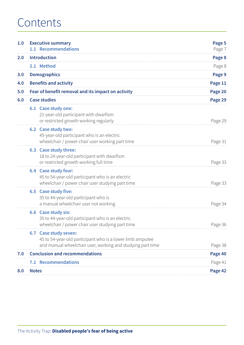# Contents

| 1.0 |                                       | <b>Executive summary</b><br>1.1 Recommendations                                                                                                  | Page 5<br>Page 7 |
|-----|---------------------------------------|--------------------------------------------------------------------------------------------------------------------------------------------------|------------------|
| 2.0 |                                       | <b>Introduction</b>                                                                                                                              | Page 8           |
|     |                                       | 2.1 Method                                                                                                                                       | Page 8           |
| 3.0 |                                       | <b>Demographics</b>                                                                                                                              | Page 9           |
| 4.0 |                                       | <b>Benefits and activity</b>                                                                                                                     | Page 11          |
| 5.0 |                                       | Fear of benefit removal and its impact on activity                                                                                               | Page 20          |
| 6.0 |                                       | <b>Case studies</b>                                                                                                                              | Page 29          |
|     |                                       | 6.1 Case study one:<br>21-year-old participant with dwarfism<br>or restricted growth working regularly                                           | Page 29          |
|     |                                       | 6.2 Case study two:<br>45-year-old participant who is an electric<br>wheelchair / power chair user working part time                             | Page 31          |
|     |                                       | 6.3 Case study three:<br>18 to 24-year-old participant with dwarfism<br>or restricted growth working full time                                   | Page 33          |
|     |                                       | 6.4 Case study four:<br>45 to 54-year-old participant who is an electric<br>wheelchair / power chair user studying part time                     | Page 33          |
|     |                                       | 6.5 Case study five:<br>35 to 44-year-old participant who is<br>a manual wheelchair user not working                                             | Page 34          |
|     |                                       | 6.6 Case study six:<br>35 to 44-year-old participant who is an electric<br>wheelchair / power chair user studying part time                      | Page 36          |
|     |                                       | 6.7 Case study seven:<br>45 to 54-year-old participant who is a lower limb amputee<br>and manual wheelchair user, working and studying part time | Page 38          |
| 7.0 | <b>Conclusion and recommendations</b> |                                                                                                                                                  | Page 40          |
|     | 7.1                                   | <b>Recommendations</b>                                                                                                                           | Page 41          |
| 8.0 | <b>Notes</b>                          |                                                                                                                                                  | Page 42          |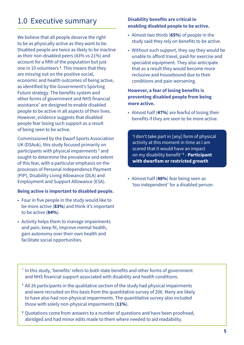# <span id="page-4-0"></span>1.0 Executive summary

We believe that all people deserve the right to be as physically active as they want to be. Disabled people are twice as likely to be inactive as their non-disabled peers (43% vs 21%) and account for a fifth of the population but just one in 10 volunteers **<sup>1</sup>** . This means that they are missing out on the positive social, economic and health outcomes of being active, as identified by the Government's Sporting Future strategy. The benefits system and other forms of government and NHS financial assistance<sup>[\\*](#page-4-2)</sup> are designed to enable disabled people to be active in all aspects of their lives. However, evidence suggests that disabled people fear losing such support as a result of being seen to be active.

Commissioned by the Dwarf Sports Association UK (DSAuk), this study focused primarily on participants with physical impairments <sup>[†](#page-4-3)</sup> and sought to determine the prevalence and extent of this fear, with a particular emphasis on the processes of Personal Independence Payment (PIP), Disability Living Allowance (DLA) and Employment and Support Allowance (ESA).

#### **Being active is important to disabled people.**

- Four in five people in the study would like to be more active (**83%**) and think it's important to be active (**84%**).
- Activity helps them to manage impairments and pain, keep fit, improve mental health, gain autonomy over their own health and facilitate social opportunities.

#### **Disability benefits are critical in enabling disabled people to be active.**

- Almost two thirds (**65%**) of people in the study said they rely on benefits to be active.
- Without such support, they say they would be unable to afford travel, paid-for exercise and specialist equipment. They also anticipate that as a result they would become more reclusive and housebound due to their conditions and pain worsening.

#### **However, a fear of losing benefits is preventing disabled people from being more active.**

• Almost half (**47%**) are fearful of losing their benefits if they are seen to be more active.

'I don't take part in [any] form of physical activity at this moment in time as I am scared that it would have an impact on my disability benefit' **[‡](#page-4-1)** - **Participant with dwarfism or restricted growth**

• Almost half (**48%**) fear being seen as 'too independent' for a disabled person.

- <span id="page-4-2"></span>**\*** In this study, 'benefits' refers to both state benefits and other forms of government and NHS financial support associated with disability and health conditions.
- <span id="page-4-3"></span>**†** All 26 participants in the qualitative section of the study had physical impairments and were recruited on this basis from the quantitative survey of 206. Many are likely to have also had non-physical impairments. The quantitative survey also included those with solely non-physical impairments (**11%**).
- <span id="page-4-1"></span>**‡** Quotations come from answers to a number of questions and have been proofread, abridged and had minor edits made to them where needed to aid readability.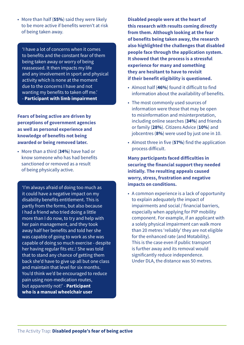• More than half (**55%**) said they were likely to be more active if benefits weren't at risk of being taken away.

'I have a lot of concerns when it comes to benefits and the constant fear of them being taken away or worry of being reassessed. It then impacts my life and any involvement in sport and physical activity which is none at the moment due to the concerns I have and not wanting my benefits to taken off me.' - **Participant with limb impairment**

**Fears of being active are driven by perceptions of government agencies as well as personal experience and knowledge of benefits not being awarded or being removed later.**

• More than a third (**34%**) have had or know someone who has had benefits sanctioned or removed as a result of being physically active.

'I'm always afraid of doing too much as it could have a negative impact on my disability benefits entitlement. This is partly from the forms, but also because I had a friend who tried doing a little more than I do now, to try and help with her pain management, and they took away half her benefits and told her she was capable of going to work as she was capable of doing so much exercise - despite her having regular fits etc.! She was told that to stand any chance of getting them back she'd have to give up all but one class and maintain that level for six months. You'd think we'd be encouraged to reduce pain using non-medication routes, but apparently not!' - **Participant who is a manual wheelchair user**

**Disabled people were at the heart of this research with results coming directly from them. Although looking at the fear of benefits being taken away, the research also highlighted the challenges that disabled people face through the application system. It showed that the process is a stressful experience for many and something they are hesitant to have to revisit if their benefit eligibility is questioned.**

- Almost half (**46%**) found it difficult to find information about the availability of benefits.
- The most commonly used sources of information were those that may be open to misinformation and misinterpretation, including online searches (**34%**) and friends or family (**28%**). Citizens Advice (**10%**) and jobcentres (**8%**) were used by just one in 10.
- Almost three in five (**57%**) find the application process difficult.

**Many participants faced difficulties in securing the financial support they needed initially. The resulting appeals caused worry, stress, frustration and negative impacts on conditions.**

• A common experience is a lack of opportunity to explain adequately the impact of impairments and social / financial barriers, especially when applying for PIP mobility component. For example, if an applicant with a solely physical impairment can walk more than 20 metres 'reliably' they are not eligible for the enhanced rate (and Motability). This is the case even if public transport is further away and its removal would significantly reduce independence. Under DLA, the distance was 50 metres.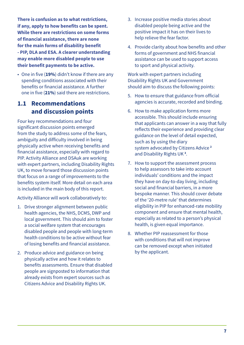<span id="page-6-0"></span>**There is confusion as to what restrictions, if any, apply to how benefits can be spent. While there are restrictions on some forms of financial assistance, there are none for the main forms of disability benefit - PIP, DLA and ESA. A clearer understanding may enable more disabled people to use their benefit payments to be active.**

• One in five (**19%**) didn't know if there are any spending conditions associated with their benefits or financial assistance. A further one in five (**21%**) said there are restrictions.

### **1.1 Recommendations and discussion points**

Four key recommendations and four significant discussion points emerged from the study to address some of the fears, ambiguity and difficulty involved in being physically active when receiving benefits and financial assistance, especially with regard to PIP. Activity Alliance and DSAuk are working with expert partners, including Disability Rights UK, to move forward those discussion points that focus on a range of improvements to the benefits system itself. More detail on each area is included in the main body of this report.

Activity Alliance will work collaboratively to:

- 1. Drive stronger alignment between public health agencies, the NHS, DCMS, DWP and local government. This should aim to foster a social welfare system that encourages disabled people and people with long-term health conditions to be active without fear of losing benefits and financial assistance.
- 2. Produce advice and guidance on being physically active and how it relates to benefits assessments. Ensure that disabled people are signposted to information that already exists from expert sources such as Citizens Advice and Disability Rights UK.
- 3. Increase positive media stories about disabled people being active and the positive impact it has on their lives to help relieve the fear factor.
- 4. Provide clarity about how benefits and other forms of government and NHS financial assistance can be used to support access to sport and physical activity.

Work with expert partners including Disability Rights UK and Government should aim to discuss the following points:

- 5. How to ensure that guidance from official agencies is accurate, recorded and binding.
- 6. How to make application forms more accessible. This should include ensuring that applicants can answer in a way that fully reflects their experience and providing clear guidance on the level of detail expected, such as by using the diary system advocated by Citizens Advice **[2](#page-41-1)** and Disability Rights UK **[3](#page-41-2)** .
- 7. How to support the assessment process to help assessors to take into account individuals' conditions and the impact they have on day-to-day living, including social and financial barriers, in a more bespoke manner. This should cover debate of the '20-metre rule' that determines eligibility in PIP for enhanced-rate mobility component and ensure that mental health, especially as related to a person's physical health, is given equal importance.
- 8. Whether PIP reassessment for those with conditions that will not improve can be removed except when initiated by the applicant.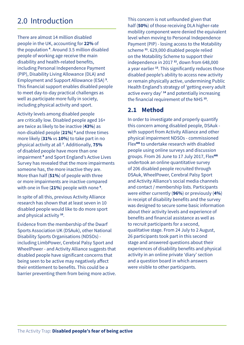# <span id="page-7-0"></span>2.0 Introduction

There are almost 14 million disabled people in the UK, accounting for **22%** of the population **[4](#page-41-3)** . Around 3.5 million disabled people of working age receive the main disability and health-related benefits, including Personal Independence Payment (PIP), Disability Living Allowance (DLA) and Employment and Support Allowance (ESA) **[5](#page-41-4)** . This financial support enables disabled people to meet day-to-day practical challenges as well as participate more fully in society, including physical activity and sport.

Activity levels among disabled people are critically low. Disabled people aged 16+ are twice as likely to be inactive (**43%**) as non-disabled people (**21%**) **[6](#page-41-5)** and three times more likely (**31%** vs **10%**) to take part in no physical activity at all **[7](#page-41-6)** . Additionally, **75%** of disabled people have more than one impairment **[8](#page-41-7)** and Sport England's Active Lives Survey has revealed that the more impairments someone has, the more inactive they are. More than half (**51%**) of people with three or more impairments are inactive compared with one in five (**21%**) people with none **[9](#page-41-8)** .

In spite of all this, previous Activity Alliance research has shown that at least seven in 10 disabled people would like to do more sport and physical activity **[10](#page-41-9)**.

Evidence from the membership of the Dwarf Sports Association UK (DSAuk), other National Disability Sports Organisations (NDSOs) including LimbPower, Cerebral Palsy Sport and WheelPower - and Activity Alliance suggests that disabled people have significant concerns that being seen to be active may negatively affect their entitlement to benefits. This could be a barrier preventing them from being more active. This concern is not unfounded given that half (**50%**) of those receiving DLA higher-rate mobility component were denied the equivalent level when moving to Personal Independence Payment (PIP) - losing access to the Motability scheme **[11](#page-41-10)**. 629,000 disabled people relied on the Motability Scheme to support their independence in 2017 **[12](#page-41-11)**, down from 648,000 a year earlier **[13](#page-41-12)**. This significantly reduces those disabled people's ability to access new activity or remain physically active, undermining Public Health England's strategy of 'getting every adult active every day' **[14](#page-41-13)** and potentially increasing the financial requirement of the NHS **[15](#page-41-14)**.

## **2.1 Method**

In order to investigate and properly quantify this concern among disabled people, DSAuk with support from Activity Alliance and other physical impairment NDSOs - commissioned Flex**MR** to undertake research with disabled people using online surveys and discussion groups. From 26 June to 17 July 2017, Flex**MR** undertook an online quantitative survey of 206 disabled people recruited through DSAuk, WheelPower, Cerebral Palsy Sport and Activity Alliance's social media channels and contact / membership lists. Participants were either currently (**96%**) or previously (**4%**) in receipt of disability benefits and the survey was designed to secure some basic information about their activity levels and experience of benefits and financial assistance as well as to recruit participants for a second, qualitative stage. From 24 July to 2 August, 26 participants took part in this second stage and answered questions about their experiences of disability benefits and physical activity in an online private 'diary' section and a question board in which answers were visible to other participants.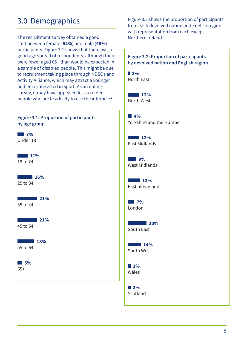# <span id="page-8-0"></span>3.0 Demographics

The recruitment survey obtained a good split between female (**52%**) and male (**48%**) participants. Figure 3.1 shows that there was a good age spread of respondents, although there were fewer aged 65+ than would be expected in a sample of disabled people. This might be due to recruitment taking place through NDSOs and Activity Alliance, which may attract a younger audience interested in sport. As an online survey, it may have appealed less to older people who are less likely to use the internet **[16](#page-41-15)**.



Figure 3.2 shows the proportion of participants from each devolved nation and English region with representation from each except Northern Ireland.

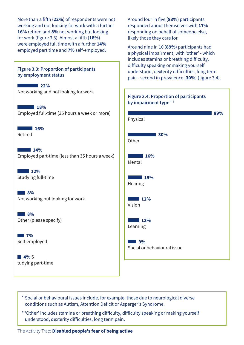More than a fifth (**22%**) of respondents were not working and not looking for work with a further **16%** retired and **8%** not working but looking for work (figure 3.3). Almost a fifth (**18%**) were employed full time with a further **14%** employed part time and **7%** self-employed.



Around four in five (**83%**) participants responded about themselves with **17%** responding on behalf of someone else, likely those they care for.

Around nine in 10 (**89%**) participants had a physical impairment, with 'other' - which includes stamina or breathing difficulty, difficulty speaking or making yourself understood, dexterity difficulties, long term pain - second in prevalence (**30%**) (figure 3.4).



- <span id="page-9-0"></span>**\*** Social or behavioural issues include, for example, those due to neurological diverse conditions such as Autism, Attention Deficit or Asperger's Syndrome.
- <span id="page-9-1"></span>**†** 'Other' includes stamina or breathing difficulty, difficulty speaking or making yourself understood, dexterity difficulties, long term pain.

#### The Activity Trap: **Disabled people's fear of being active**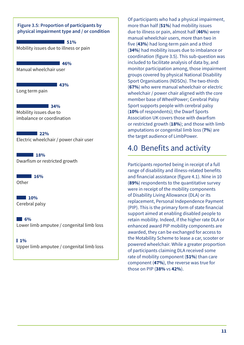#### <span id="page-10-0"></span>**Figure 3.5: Proportion of participants by physical impairment type and / or condition**

**43%** 

Mobility issues due to illness or pain **51%** 

**46%**  Manual wheelchair user

Long term pain

**34%** Mobility issues due to imbalance or coordination

**22%**  Electric wheelchair / power chair user

**18%** Dwarfism or restricted growth

**16% Other** 

**10%** Cerebral palsy

**6%**  Lower limb amputee / congenital limb loss

 $1%$ Upper limb amputee / congenital limb loss Of participants who had a physical impairment, more than half (**51%**) had mobility issues due to illness or pain, almost half (**46%**) were manual wheelchair users, more than two in five (**43%**) had long-term pain and a third (**34%**) had mobility issues due to imbalance or coordination (figure 3.5). This sub-question was included to facilitate analysis of data by, and monitor participation among, those impairment groups covered by physical National Disability Sport Organisations (NDSOs). The two-thirds (**67%**) who were manual wheelchair or electric wheelchair / power chair aligned with the core member base of WheelPower; Cerebral Palsy Sport supports people with cerebral palsy (**10%** of respondents); the Dwarf Sports Association UK covers those with dwarfism or restricted growth (**18%**); and those with limb amputations or congenital limb loss (**7%**) are the target audience of LimbPower.

# 4.0 Benefits and activity

Participants reported being in receipt of a full range of disability and illness-related benefits and financial assistance (figure 4.1). Nine in 10 (**89%**) respondents to the quantitative survey were in receipt of the mobility components of Disability Living Allowance (DLA) or its replacement, Personal Independence Payment (PIP). This is the primary form of state financial support aimed at enabling disabled people to retain mobility. Indeed, if the higher rate DLA or enhanced award PIP mobility components are awarded, they can be exchanged for access to the Motability Scheme to lease a car, scooter or powered wheelchair. While a greater proportion of participants claiming DLA received some rate of mobility component (**51%**) than care component (**47%**), the reverse was true for those on PIP (**38%** vs **42%**).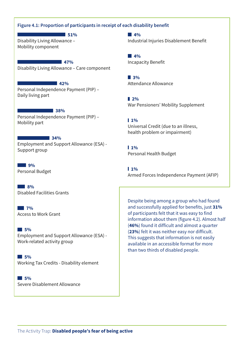#### **Figure 4.1: Proportion of participants in receipt of each disability benefit**

Disability Living Allowance – Mobility component **51%** 

**47%** Disability Living Allowance – Care component

Personal Independence Payment (PIP) – Daily living part **2%** 

**38%** Personal Independence Payment (PIP) – Mobility part **1** 

#### **34%**

Employment and Support Allowance (ESA) - Employment and Support *Michael (ESN)* 1% **1** 1%

**9%** Personal Budget

**8%** Disabled Facilities Grants

**7%** Access to Work Grant

**5%**  Employment and Support Allowance (ESA) - Work-related activity group

**5%**  Working Tax Credits - Disability element

**5%**  Severe Disablement Allowance **4%**  Industrial Injuries Disablement Benefit

Incapacity Benefit **4%** 

**3% 42%** Attendance Allowance

War Pensioners' Mobility Supplement

Universal Credit (due to an illness, health problem or impairment)

Personal Health Budget

 $10<sub>o</sub>$ Armed Forces Independence Payment (AFIP)

Despite being among a group who had found and successfully applied for benefits, just **31%** of participants felt that it was easy to find information about them (figure 4.2). Almost half (**46%**) found it difficult and almost a quarter (**23%**) felt it was neither easy nor difficult. This suggests that information is not easily available in an accessible format for more than two thirds of disabled people.

The Activity Trap: **Disabled people's fear of being active**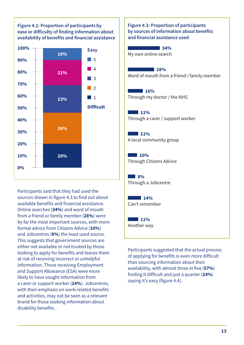**Figure 4.2: Proportion of participants by ease or difficulty of finding information about availability of benefits and financial assistance**



Participants said that they had used the sources shown in figure 4.3 to find out about available benefits and financial assistance. Online searches (**34%**) and word of mouth from a friend or family member (**28%**) were by far the most important sources, with more formal advice from Citizens Advice (**10%**) and Jobcentres (**8%**) the least used source. This suggests that government sources are either not available or not trusted by those looking to apply for benefits and leaves them at risk of receiving incorrect or unhelpful information. Those receiving Employment and Support Allowance (ESA) were more likely to have sought information from a carer or support worker (**24%**). Jobcentres, with their emphasis on work-related benefits and activities, may not be seen as a relevant brand for those seeking information about disability benefits.

**Figure 4.3: Proportion of participants by sources of information about benefits and financial assistance used**

My own online search **34%** 

**28%** Word of mouth from a friend / family member

**16%** Through my doctor / the NHS

**11%** Through a carer / support worker

**11%** A local community group

**10%** Through Citizens Advice

**8%** Through a Jobcentre

**14%** Can't remember

**11%** Another way

Participants suggested that the actual process of applying for benefits is even more difficult than sourcing information about their availability, with almost three in five (**57%**) finding it difficult and just a quarter (**24%**) saying it's easy (figure 4.4).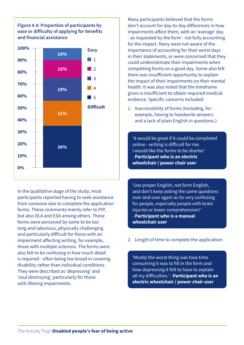#### **Figure 4.4: Proportion of participants by ease or difficulty of applying for benefits and financial assistance**



In the qualitative stage of the study, most participants reported having to seek assistance from someone else to complete the application forms. These comments mainly refer to PIP, but also DLA and ESA among others. These forms were perceived by some to be too long and laborious, physically challenging and particularly difficult for those with an impairment affecting writing, for example, those with multiple sclerosis. The forms were also felt to be confusing in how much detail is required - often being too broad in covering disability rather than individual conditions. They were described as 'depressing' and 'soul destroying', particularly for those with lifelong impairments.

Many participants believed that the forms don't account for day-to-day differences in how impairments affect them, with an 'average' day - as requested by the form - not fully accounting for the impact. Many were not aware of the importance of accounting for their worst days in their statements, or were concerned that they could underestimate their impairments when completing forms on a good day. Some also felt there was insufficient opportunity to explain the impact of their impairments on their mental health. It was also noted that the timeframe given is insufficient to obtain required medical evidence. Specific concerns included:

1. Inaccessibility of forms (Including, for example, having to handwrite answers and a lack of plain English in questions.):

'It would be great if it could be completed online - writing is difficult for me. I would like the forms to be shorter.' - **Participant who is an electric wheelchair / power chair user**

'Use proper English, not form English, and don't keep asking the same questions over and over again as its very confusing for people, especially people with brain injuries or lower comprehension!' - **Participant who is a manual wheelchair user**

2. Length of time to complete the application:

'Mostly the worst thing was how time consuming it was to fill in the form and how depressing it felt to have to explain all my difficulties.' - **Participant who is an electric wheelchair / power chair user**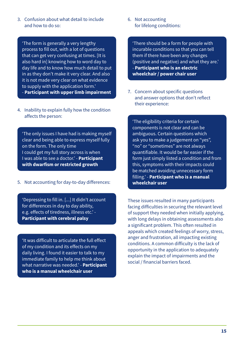3. Confusion about what detail to include and how to do so:

'The form is generally a very lengthy process to fill out, with a lot of questions that can get very confusing at times. [It is also hard in] knowing how to word day to day life and to know how much detail to put in as they don't make it very clear. And also it is not made very clear on what evidence to supply with the application form.' - **Participant with upper limb impairment**

4. Inability to explain fully how the condition

affects the person:

'The only issues I have had is making myself clear and being able to express myself fully on the form. The only time I could get my full story across is when I was able to see a doctor.' - **Participant with dwarfism or restricted growth**

5. Not accounting for day-to-day differences:

'Depressing to fill in. [...] It didn't account for differences in day to day ability, e.g. effects of tiredness, illness etc.' - **Participant with cerebral palsy**

'It was difficult to articulate the full effect of my condition and its effects on my daily living. I found it easier to talk to my immediate family to help me think about what narrative was needed.' - **Participant who is a manual wheelchair user**

6. Not accounting for lifelong conditions:

'There should be a form for people with incurable conditions so that you can tell them if there have been any changes (positive and negative) and what they are.' - **Participant who is an electric wheelchair / power chair user**

7. Concern about specific questions and answer options that don't reflect their experience:

'The eligibility criteria for certain components is not clear and can be ambiguous. Certain questions which ask you to make a judgement on "yes", "no" or "sometimes" are not always quantifiable. It would be far easier if the form just simply listed a condition and from this, symptoms with their impacts could be matched avoiding unnecessary form filling.' - **Participant who is a manual wheelchair user**

These issues resulted in many participants facing difficulties in securing the relevant level of support they needed when initially applying, with long delays in obtaining assessments also a significant problem. This often resulted in appeals which created feelings of worry, stress, anger and frustration, all impacting existing conditions. A common difficulty is the lack of opportunity in the application to adequately explain the impact of impairments and the social / financial barriers faced.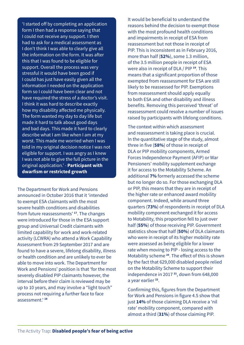'I started off by completing an application form I then had a response saying that I could not receive any support. I then had to ask for a medical assessment as I don't think I was able to clearly give all the information on the form. It was after this that I was found to be eligible for support. Overall the process was very stressful it would have been good if I could has just have easily given all the information I needed on the application form so I could have been clear and not have required the stress of a doctor's visit. I think it was hard to describe exactly how my disability affected me physically. The form wanted my day to day life but made it hard to talk about good days and bad days. This made it hard to clearly describe what I am like when I am at my worst. This made me worried when I was told in my original decision notice I was not eligible for support. I was angry as I knew I was not able to give the full picture in the original application.' - **Participant with dwarfism or restricted growth**

The Department for Work and Pensions announced in October 2016 that it 'intended to exempt ESA claimants with the most severe health conditions and disabilities from future reassessments' **[17](#page-41-16)**. The changes were introduced for those in the ESA support group and Universal Credit claimants with limited capability for work and work-related activity (LCWRA) who attend a Work Capability Assessment from 29 September 2017 and are found to have a severe, lifelong disability, illness or health condition and are unlikely to ever be able to move into work. The Department for Work and Pensions' position is that 'for the most severely disabled PIP claimants however, the interval before their claim is reviewed may be up to 10 years, and may involve a "light touch" process not requiring a further face to face assessment.' **[18](#page-41-17)**

It would be beneficial to understand the reasons behind the decision to exempt those with the most profound health conditions and impairments in receipt of ESA from reassessment but not those in receipt of PIP. This is inconsistent as in February 2016, more than half (**52%**), some 1.3 million, of the 3.5 million people in receipt of ESA were also in receipt of DLA / PIP **[19](#page-41-18)**. This means that a significant proportion of those exempted from reassessment for ESA are still likely to be reassessed for PIP. Exemptions from reassessment should apply equally to both ESA and other disability and illness benefits. Removing this perceived 'threat' of reassessment could resolve a number of issues raised by participants with lifelong conditions.

The context within which assessment and reassessment is taking place is crucial. In the quantitative stage of the study, almost three in five (**58%**) of those in receipt of DLA or PIP mobility components, Armed Forces Independence Payment (AFIP) or War Pensioners' mobility supplement exchange it for access to the Motability Scheme. An additional **7%** formerly accessed the scheme but no longer do so. For those exchanging DLA or PIP, this means that they are in receipt of the higher rate or enhanced award mobility component. Indeed, while around three quarters (**73%**) of respondents in receipt of DLA mobility component exchanged it for access to Motability, this proportion fell to just over half (**55%**) of those receiving PIP. Government statistics show that half (**50%**) of DLA claimants who were in receipt of its higher mobility rate were assessed as being eligible for a lower rate when moving to PIP - losing access to the Motability scheme **[20](#page-41-19)**. The effect of this is shown by the fact that 629,000 disabled people relied on the Motability Scheme to support their independence in 2017 **[21](#page-41-20)**, down from 648,000 a year earlier **[22](#page-41-21)**.

Confirming this, figures from the Department for Work and Pensions in figure 4.5 show that just **14%** of those claiming DLA receive a 'nil rate' mobility component, compared with almost a third (**31%**) of those claiming PIP.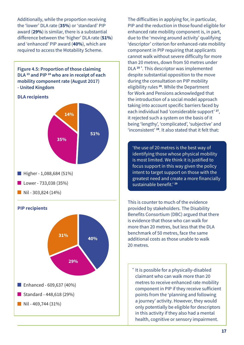Additionally, while the proportion receiving the 'lower' DLA rate (**35%**) or 'standard' PIP award (**29%**) is similar, there is a substantial difference between the 'higher' DLA rate (**51%**) and 'enhanced' PIP award (**40%**), which are required to access the Motability Scheme.

**Figure 4.5: Proportion of those claiming DLA [23](#page-41-24) and PIP [24](#page-41-25) who are in receipt of each mobility component rate (August 2017) - United Kingdom**



 $\blacksquare$  Nil - 303,824 (14%)

**PIP recipients**



The difficulties in applying for, in particular, PIP and the reduction in those found eligible for enhanced rate mobility component is, in part, due to the 'moving around activity' qualifying 'descriptor' criterion for enhanced-rate mobility component in PIP requiring that applicants cannot walk without severe difficulty for more than 20 metres, down from 50 metres under DLA **[25](#page-41-22) [\\*](#page-16-0)** . This descriptor was implemented despite substantial opposition to the move during the consultation on PIP mobility eligibility rules **[26](#page-41-23)**. While the Department for Work and Pensions acknowledged that the introduction of a social model approach taking into account specific barriers faced by each individual had 'considerable support' **[27](#page-42-1)**, it rejected such a system on the basis of it being 'lengthy', 'complicated', 'subjective' and 'inconsistent' **[28](#page-42-2)**. It also stated that it felt that:

'the use of 20 metres is the best way of identifying those whose physical mobility is most limited. We think it is justified to focus support in this way given the policy intent to target support on those with the greatest need and create a more financially sustainable benefit.' **[29](#page-42-0)**

This is counter to much of the evidence provided by stakeholders. The Disability Benefits Consortium (DBC) argued that there is evidence that those who can walk for more than 20 metres, but less that the DLA benchmark of 50 metres, face the same additional costs as those unable to walk 20 metres.

<span id="page-16-0"></span>**\*** It is possible for a physically-disabled claimant who can walk more than 20 metres to receive enhanced rate mobility component in PIP if they receive sufficient points from the 'planning and following a journey' activity. However, they would only potentially be eligible for descriptors in this activity if they also had a mental health, cognitive or sensory impairment.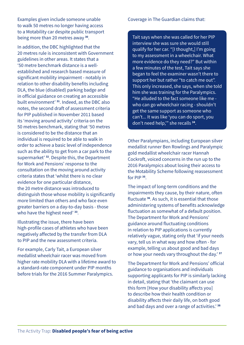Examples given include someone unable to walk 50 metres no longer having access to a Motability car despite public transport being more than 20 metres away **[30](#page-42-3)**.

In addition, the DBC highlighted that the 20 metres rule is inconsistent with Government guidelines in other areas. It states that a '50 metre benchmark distance is a wellestablished and research based measure of significant mobility impairment - notably in relation to other disability benefits including DLA, the blue (disabled) parking badge and in official guidance on creating an accessible built environment' **[31](#page-42-4)**. Indeed, as the DBC also notes, the second draft of assessment criteria for PIP published in November 2011 based its 'moving around activity' criteria on the 50 metres benchmark, stating that '50 metres is considered to be the distance that an individual is required to be able to walk in order to achieve a basic level of independence such as the ability to get from a car park to the supermarket' **[32](#page-42-5)**. Despite this, the Department for Work and Pensions' response to the consultation on the moving around activity criteria states that 'whilst there is no clear evidence for one particular distance, the 20 metre distance was introduced to distinguish those whose mobility is significantly more limited than others and who face even greater barriers on a day-to-day basis - those who have the highest need' **[33](#page-42-6)**.

Illustrating the issue, there have been high-profile cases of athletes who have been negatively affected by the transfer from DLA to PIP and the new assessment criteria.

For example, Carly Tait, a European silver medallist wheelchair racer was moved from higher rate mobility DLA with a lifetime award to a standard-rate component under PIP months before trials for the 2016 Summer Paralympics.

#### Coverage in The Guardian claims that:

Tait says when she was called for her PIP interview she was sure she would still qualify for her car. "[I thought,] I'm going to my assessment in a wheelchair. What more evidence do they need?" But within a few minutes of the test, Tait says she began to feel the examiner wasn't there to support her but rather "to catch me out". This only increased, she says, when she told him she was training for the Paralympics. "He alluded to the fact someone like me who can go wheelchair racing - shouldn't get the same support as someone who can't... It was like 'you can do sport, you don't need help,'" she recalls **[34](#page-42-11)**.

Other Paralympians, including European silver medallist runner Ben Rowlings and Paralympic gold medallist wheelchair racer Hannah Cockroft, voiced concerns in the run up to the 2016 Paralympics about losing their access to the Motability Scheme following reassessment for PIP **[35](#page-42-7)**.

The impact of long-term conditions and the impairments they cause, by their nature, often fluctuate **[36](#page-42-8)**. As such, it is essential that those administering systems of benefits acknowledge fluctuation as somewhat of a default position. The Department for Work and Pensions' guidance around fluctuating conditions in relation to PIP applications is currently relatively vague, stating only that 'if your needs vary, tell us in what way and how often - for example, telling us about good and bad days or how your needs vary throughout the day.' **[37](#page-42-9)**

The Department for Work and Pensions' official guidance to organisations and individuals supporting applicants for PIP is similarly lacking in detail, stating that 'the claimant can use this form [How your disability affects you] to describe how their health condition or disability affects their daily life, on both good and bad days and over a range of activities.' **[38](#page-42-10)**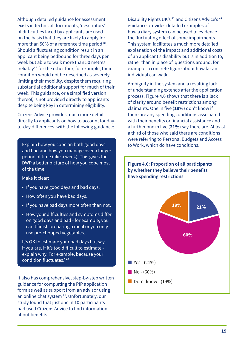Although detailed guidance for assessment exists in technical documents, 'descriptors' of difficulties faced by applicants are used on the basis that they are likely to apply for more than 50% of a reference time period **[39](#page-42-12)**. Should a fluctuating condition result in an applicant being bedbound for three days per week but able to walk more than 50 metres 'reliably' **[\\*](#page-19-1)** for the other four, for example, their condition would not be described as severely limiting their mobility, despite them requiring substantial additional support for much of their week. This guidance, or a simplified version thereof, is not provided directly to applicants despite being key in determining eligibility.

Citizens Advice provides much more detail directly to applicants on how to account for dayto-day differences, with the following guidance:

Explain how you cope on both good days and bad and how you manage over a longer period of time (like a week). This gives the DWP a better picture of how you cope most of the time.

Make it clear:

- If you have good days and bad days.
- How often you have bad days.
- If you have bad days more often than not.
- How your difficulties and symptoms differ on good days and bad - for example, you can't finish preparing a meal or you only use pre-chopped vegetables.

It's OK to estimate your bad days but say if you are. If it's too difficult to estimate explain why. For example, because your condition fluctuates.' **[40](#page-42-16)**

It also has comprehensive, step-by-step written guidance for completing the PIP application form as well as support from an advisor using an online chat system **[41](#page-42-15)**. Unfortunately, our study found that just one in 10 participants had used Citizens Advice to find information about benefits.

Disability Rights UK's **[42](#page-42-13)** and Citizens Advice's **[43](#page-42-14)** guidance provides detailed examples of how a diary system can be used to evidence the fluctuating effect of some impairments. This system facilitates a much more detailed explanation of the impact and additional costs of an applicant's disability but is in addition to, rather than in place of, questions around, for example, a concrete figure about how far an individual can walk.

Ambiguity in the system and a resulting lack of understanding extends after the application process. Figure 4.6 shows that there is a lack of clarity around benefit restrictions among claimants. One in five (**19%**) don't know if there are any spending conditions associated with their benefits or financial assistance and a further one in five (**21%**) say there are. At least a third of those who said there are conditions were referring to Personal Budgets and Access to Work, which do have conditions.

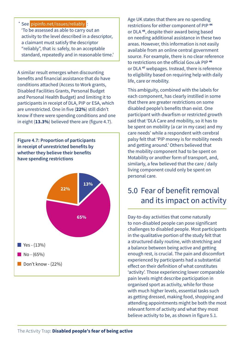<span id="page-19-1"></span><span id="page-19-0"></span>**\*** See [pipinfo.net/issues/reliably](https://pipinfo.net/issues/reliably) : 'To be assessed as able to carry out an activity to the level described in a descriptor, a claimant must satisfy the descriptor "reliably", that is: safely, to an acceptable standard, repeatedly and in reasonable time.'

A similar result emerges when discounting benefits and financial assistance that do have conditions attached (Access to Work grants, Disabled Facilities Grants, Personal Budget and Personal Health Budget) and limiting it to participants in receipt of DLA, PIP or ESA, which are unrestricted. One in five (**22%**) still didn't know if there were spending conditions and one in eight (**13.3%**) believed there are (figure 4.7).

**Figure 4.7: Proportion of participants in receipt of unrestricted benefits by** 

# 5.0 Fear of benefit removal and its impact on activity

Age UK states that there are no spending restrictions for either component of PIP **[44](#page-42-17)** or DLA **[45](#page-42-18)**, despite their award being based on needing additional assistance in these two areas. However, this information is not easily available from an online central government source. For example, there is no clear reference

to restrictions on the official Gov.uk PIP **[46](#page-42-19)** or DLA **[47](#page-42-20)** webpages. Instead, there is reference to eligibility based on requiring help with daily

This ambiguity, combined with the labels for each component, has clearly instilled in some that there are greater restrictions on some disabled people's benefits than exist. One participant with dwarfism or restricted growth said that 'DLA Care and mobility, so it has to be spent on mobility (a car in my case) and my care needs' while a respondent with cerebral palsy felt that 'PIP money is for mobility needs

and getting around.' Others believed that the mobility component had to be spent on Motability or another form of transport, and, similarly, a few believed that the care / daily living component could only be spent on

life, care or mobility.

personal care.

Day-to-day activities that come naturally to non-disabled people can pose significant challenges to disabled people. Most participants in the qualitative portion of the study felt that a structured daily routine, with stretching and a balance between being active and getting enough rest, is crucial. The pain and discomfort experienced by participants had a substantial effect on their definition of what constitutes 'activity'. Those experiencing lower comparable pain levels might describe participation in organised sport as activity, while for those with much higher levels, essential tasks such as getting dressed, making food, shopping and attending appointments might be both the most relevant form of activity and what they most believe activity to be, as shown in figure 5.1.

**whether they believe their benefits have spending restrictions 22% 13% 65%**



Don't know - (22%)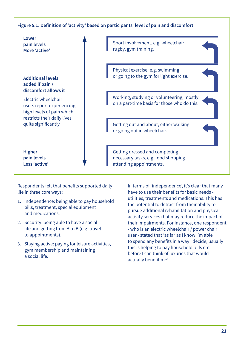#### **Figure 5.1: Definition of 'activity' based on participants' level of pain and discomfort**



Respondents felt that benefits supported daily life in three core ways:

- 1. Independence: being able to pay household bills, treatment, special equipment and medications.
- 2. Security: being able to have a social life and getting from A to B (e.g. travel to appointments).
- 3. Staying active: paying for leisure activities, gym membership and maintaining a social life.

In terms of 'independence', it's clear that many have to use their benefits for basic needs utilities, treatments and medications. This has the potential to detract from their ability to pursue additional rehabilitation and physical activity services that may reduce the impact of their impairments. For instance, one respondent - who is an electric wheelchair / power chair user - stated that 'as far as I know I'm able to spend any benefits in a way I decide, usually this is helping to pay household bills etc. before I can think of luxuries that would actually benefit me!'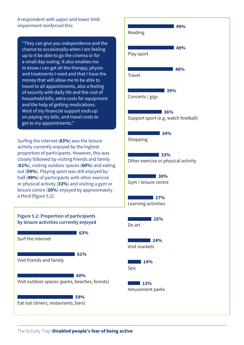A respondent with upper and lower limb impairment reinforced this:

"They can give you independence and the chance to occasionally when I am feeling up to it be able to go the cinema or for a small day outing. It also enables me to know I can get all the therapy, physio and treatments I need and that I have the money that will allow me to be able to travel to all appointments, also a feeling of security with daily life and the cost of household bills, extra costs for equipment and the help of getting medications. Most of my financial support ends up on paying my bills, and travel costs to get to my appointments."

Surfing the internet (**63%**) was the leisure activity currently enjoyed by the highest proportion of participants. However, this was closely followed by visiting friends and family (**61%**), visiting outdoor spaces (**60%**) and eating out (**59%**). Playing sport was still enjoyed by half (**49%**) of participants with other exercise or physical activity (**33%**) and visiting a gym or leisure centre (**30%**) enjoyed by approximately a third (figure 5.2).



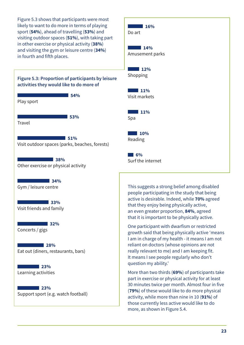Figure 5.3 shows that participants were most likely to want to do more in terms of playing sport (**54%**), ahead of travelling (**53%**) and visiting outdoor spaces (**51%**), with taking part in other exercise or physical activity (**38%**) and visiting the gym or leisure centre (**34%**) in fourth and fifth places.



| 16%<br><b>Contract Contract</b><br>Do art  |
|--------------------------------------------|
| 14%<br>Amusement parks                     |
| $\blacksquare$ 12%<br>Shopping             |
| $\blacksquare$ 11%<br>Visit markets        |
| $\blacksquare$ 11%<br>Spa                  |
| 10%<br><b>Contract Contract</b><br>Reading |
| 6%<br>Surf the internet                    |

This suggests a strong belief among disabled people participating in the study that being active is desirable. Indeed, while **70%** agreed that they enjoy being physically active, an even greater proportion, **84%**, agreed that it is important to be physically active.

One participant with dwarfism or restricted growth said that being physically active 'means I am in charge of my health - it means I am not reliant on doctors (whose opinions are not really relevant to me) and I am keeping fit. It means I see people regularly who don't question my ability.'

More than two thirds (**69%**) of participants take part in exercise or physical activity for at least 30 minutes twice per month. Almost four in five (**79%**) of these would like to do more physical activity, while more than nine in 10 (**91%**) of those currently less active would like to do more, as shown in Figure 5.4.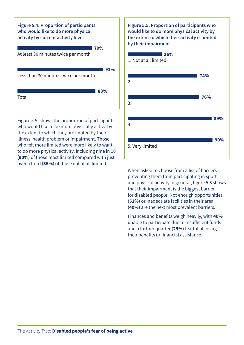

Figure 5.5, shows the proportion of participants who would like to be more physically active by the extent to which they are limited by their illness, health problem or impairment. Those who felt more limited were more likely to want to do more physical activity, including nine in 10 (**90%**) of those most limited compared with just over a third (**36%**) of those not at all limited.



When asked to choose from a list of barriers preventing them from participating in sport and physical activity in general, figure 5.6 shows that their impairment is the biggest barrier for disabled people. Not enough opportunities (**51%**) or inadequate facilities in their area (**49%**) are the next most prevalent barriers.

Finances and benefits weigh heavily, with **40%** unable to participate due to insufficient funds and a further quarter (**25%**) fearful of losing their benefits or financial assistance.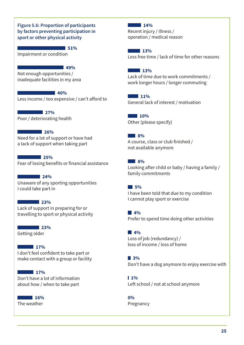#### **Figure 5.6: Proportion of participants by factors preventing participation in sport or other physical activity**

**51%**

Impairment or condition

**49%**

Not enough opportunities / inadequate facilities in my area

#### **40%**

Less income / too expensive / can't afford to

**27%** Poor / deteriorating health

#### **26%**

Need for a lot of support or have had a lack of support when taking part

#### **25%**

Fear of losing benefits or financial assistance

# **24%**

Unaware of any sporting opportunities I could take part in

#### **23%**

Lack of support in preparing for or travelling to sport or physical activity

**23%**

Getting older

#### **17%**

I don't feel confident to take part or make contact with a group or facility

#### **17%**

Don't have a lot of information about how / when to take part

**16%** The weather

#### **14%**

Recent injury / illness / operation / medical reason

**13%** Less free time / lack of time for other reasons

#### **13%**

Lack of time due to work commitments / work longer hours / longer commuting

**11%** General lack of interest / motivation

**10%** Other (please specify)

#### **8%**

A course, class or club finished / not available anymore

#### **8%**

Looking after child or baby / having a family / family commitments

#### **5%**

I have been told that due to my condition I cannot play sport or exercise

**4%** Prefer to spend time doing other activities

### **4%**

Loss of job (redundancy) / loss of income / loss of home

#### **3%**

Don't have a dog anymore to enjoy exercise with

 $1%$ Left school / not at school anymore

**0%** Pregnancy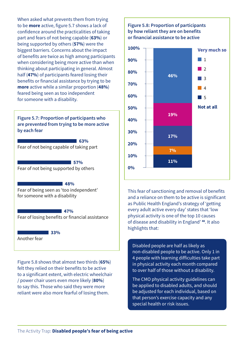When asked what prevents them from trying to be **more** active, figure 5.7 shows a lack of confidence around the practicalities of taking part and fears of not being capable (**63%**) or being supported by others (**57%**) were the biggest barriers. Concerns about the impact of benefits are twice as high among participants when considering being more active than when thinking about participating in general. Almost half (**47%**) of participants feared losing their benefits or financial assistance by trying to be **more** active while a similar proportion (**48%**) feared being seen as too independent for someone with a disability.

**Figure 5.7: Proportion of participants who are prevented from trying to be more active by each fear**

Fear of not being capable of taking part **63%**

**57%** Fear of not being supported by others

#### **48%**

Fear of being seen as 'too independent' for someone with a disability

#### **47%**

Fear of losing benefits or financial assistance

**33%**

Another fear

Figure 5.8 shows that almost two thirds (**65%**) felt they relied on their benefits to be active to a significant extent, with electric wheelchair / power chair users even more likely (**80%**) to say this. Those who said they were more reliant were also more fearful of losing them.

#### **Figure 5.8: Proportion of participants by how reliant they are on benefits or financial assistance to be active**



This fear of sanctioning and removal of benefits and a reliance on them to be active is significant as Public Health England's strategy of 'getting every adult active every day' states that 'low physical activity is one of the top 10 causes of disease and disability in England' **[48](#page-42-21)**. It also highlights that:

Disabled people are half as likely as non-disabled people to be active. Only 1 in 4 people with learning difficulties take part in physical activity each month compared to over half of those without a disability.

The CMO physical activity guidelines can be applied to disabled adults, and should be adjusted for each individual, based on that person's exercise capacity and any special health or risk issues.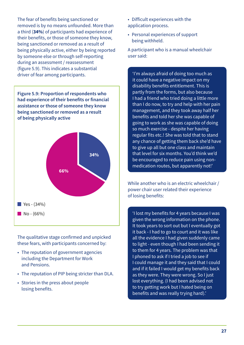The fear of benefits being sanctioned or removed is by no means unfounded. More than a third (**34%**) of participants had experience of their benefits, or those of someone they know, being sanctioned or removed as a result of being physically active, either by being reported by someone else or through self-reporting during an assessment / reassessment (figure 5.9). This indicates a substantial driver of fear among participants.  $\blacksquare$  'I'm always afraid of doing too much as

**Figure 5.9: Proportion of respondents who had experience of their benefits or financial assistance or those of someone they know being sanctioned or removed as a result of being physically active**



The qualitative stage confirmed and unpicked these fears, with participants concerned by:

- The reputation of government agencies including the Department for Work and Pensions.
- The reputation of PIP being stricter than DLA.
- Stories in the press about people losing benefits.

• Difficult experiences with the application process.

• Personal experiences of support being withheld.

A participant who is a manual wheelchair user said:

it could have a negative impact on my disability benefits entitlement. This is partly from the forms, but also because I had a friend who tried doing a little more than I do now, to try and help with her pain management, and they took away half her benefits and told her she was capable of going to work as she was capable of doing so much exercise - despite her having regular fits etc.! She was told that to stand any chance of getting them back she'd have to give up all but one class and maintain that level for six months. You'd think we'd be encouraged to reduce pain using nonmedication routes, but apparently not!'

While another who is an electric wheelchair / power chair user related their experience of losing benefits:

'I lost my benefits for 4 years because I was given the wrong information on the phone. It took years to sort out but I eventually got it back - I had to go to court and it was like all the evidence I had given suddenly came to light - even though I had been sending it to them for 4 years. The problem was that I phoned to ask if I tried a job to see if I could manage it and they said that I could and if it failed I would get my benefits back as they were. They were wrong. So I just lost everything. (I had been advised not to try getting work but I hated being on benefits and was really trying hard).'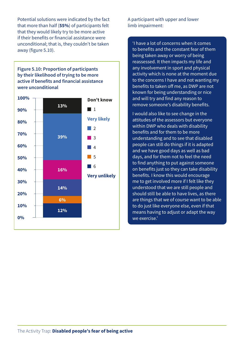Potential solutions were indicated by the fact that more than half (**55%**) of participants felt that they would likely try to be more active if their benefits or financial assistance were unconditional; that is, they couldn't be taken away (figure 5.10).

**Figure 5.10: Proportion of participants by their likelihood of trying to be more active if benefits and financial assistance were unconditional**



A participant with upper and lower limb impairment:

'I have a lot of concerns when it comes to benefits and the constant fear of them being taken away or worry of being reassessed. It then impacts my life and any involvement in sport and physical activity which is none at the moment due to the concerns I have and not wanting my benefits to taken off me, as DWP are not known for being understanding or nice and will try and find any reason to remove someone's disability benefits.

I would also like to see change in the attitudes of the assessors but everyone within DWP who deals with disability benefits and for them to be more understanding and to see that disabled people can still do things if it is adapted and we have good days as well as bad days, and for them not to feel the need to find anything to put against someone on benefits just so they can take disability benefits. I know this would encourage me to get involved more if I felt like they understood that we are still people and should still be able to have lives, as there are things that we of course want to be able to do just like everyone else, even if that means having to adjust or adapt the way we exercise.'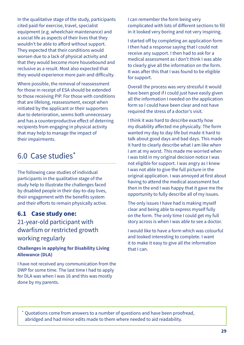<span id="page-28-0"></span>In the qualitative stage of the study, participants cited paid-for exercise, travel, specialist equipment (e.g. wheelchair maintenance) and a social life as aspects of their lives that they wouldn't be able to afford without support. They expected that their conditions would worsen due to a lack of physical activity and that they would become more housebound and reclusive as a result. Most also expected that they would experience more pain and difficulty.

Where possible, the removal of reassessment for those in receipt of ESA should be extended to those receiving PIP. For those with conditions that are lifelong, reassessment, except when initiated by the applicant or their supporters due to deterioration, seems both unnecessary and has a counterproductive effect of deterring recipients from engaging in physical activity that may help to manage the impact of their impairments.

# 6.0 Case studies **[\\*](#page-28-1)**

The following case studies of individual participants in the qualitative stage of the study help to illustrate the challenges faced by disabled people in their day-to-day lives, their engagement with the benefits system and their efforts to remain physically active.

## **6.1 Case study one:**

# 21-year-old participant with dwarfism or restricted growth working regularly

#### **Challenges in applying for Disability Living Allowance (DLA)**

I have not received any communication from the DWP for some time. The last time I had to apply for DLA was when I was 16 and this was mostly done by my parents.

I can remember the form being very complicated with lots of different sections to fill in it looked very boring and not very inspiring.

I started off by completing an application form I then had a response saying that I could not receive any support. I then had to ask for a medical assessment as I don't think I was able to clearly give all the information on the form. It was after this that I was found to be eligible for support.

Overall the process was very stressful it would have been good if I could just have easily given all the information I needed on the application form so I could have been clear and not have required the stress of a doctor's visit.

I think it was hard to describe exactly how my disability affected me physically. The form wanted my day to day life but made it hard to talk about good days and bad days. This made it hard to clearly describe what I am like when I am at my worst. This made me worried when I was told in my original decision notice I was not eligible for support. I was angry as I knew I was not able to give the full picture in the original application. I was annoyed at first about having to attend the medical assessment but then in the end I was happy that it gave me the opportunity to fully describe all of my issues.

The only issues I have had is making myself clear and being able to express myself fully on the form. The only time I could get my full story across is when I was able to see a doctor.

I would like to have a form which was colourful and looked interesting to complete. I want it to make it easy to give all the information that I can.

<span id="page-28-1"></span>**\*** Quotations come from answers to a number of questions and have been proofread, abridged and had minor edits made to them where needed to aid readability.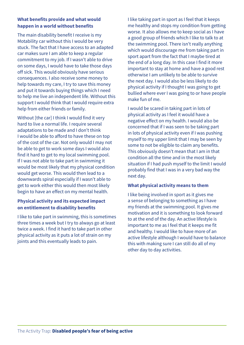#### **What benefits provide and what would happen in a world without benefits**

The main disability benefit I receive is my Motability car without this I would be very stuck. The fact that I have access to an adapted car makes sure I am able to keep a regular commitment to my job. If I wasn't able to drive on some days, I would have to take those days off sick. This would obviously have serious consequences. I also receive some money to help towards my care, I try to save this money and put it towards buying things which I need to help me live an independent life. Without this support I would think that I would require extra help from either friends or family.

Without [the car] I think I would find it very hard to live a normal life. I require several adaptations to be made and I don't think I would be able to afford to have these on top of the cost of the car. Not only would I may not be able to get to work some days I would also find it hard to get to my local swimming pool. If I was not able to take part in swimming it would be most likely that my physical condition would get worse. This would then lead to a downwards spiral especially if I wasn't able to get to work either this would then most likely begin to have an effect on my mental health.

#### **Physical activity and its expected impact on entitlement to disability benefits**

I like to take part in swimming, this is sometimes three times a week but I try to always go at least twice a week. I find it hard to take part in other physical activity as it puts a lot of strain on my joints and this eventually leads to pain.

I like taking part in sport as I feel that it keeps me healthy and stops my condition from getting worse. It also allows me to keep social as I have a good group of friends which I like to talk to at the swimming pool. There isn't really anything which would discourage me from taking part in sport apart from the fact that I maybe tired at the end of a long day. In this case I find it more important to stay at home and have a good rest otherwise I am unlikely to be able to survive the next day. I would also be less likely to do physical activity if I thought I was going to get bullied where ever I was going to or have people make fun of me.

I would be scared in taking part in lots of physical activity as I feel it would have a negative effect on my health. I would also be concerned that if I was seen to be taking part in lots of physical activity even if I was pushing myself to my upper limit that I may be seen by some to not be eligible to claim any benefits. This obviously doesn't mean that I am in that condition all the time and in the most likely situation if I had push myself to the limit I would probably find that I was in a very bad way the next day.

#### **What physical activity means to them**

I like being involved in sport as it gives me a sense of belonging to something as I have my friends at the swimming pool. It gives me motivation and it is something to look forward to at the end of the day. An active lifestyle is important to me as I feel that it keeps me fit and healthy. I would like to have more of an active lifestyle although I would have to balance this with making sure I can still do all of my other day to day activities.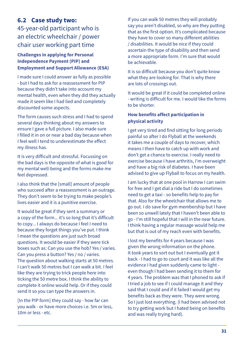# <span id="page-30-0"></span>**6.2 Case study two:**

45-year-old participant who is an electric wheelchair / power chair user working part time

#### **Challenges in applying for Personal Independence Payment (PIP) and Employment and Support Allowance (ESA)**

I made sure I could answer as fully as possible - but I had to ask for a reassessment for PIP because they didn't take into account my mental health, even when they did they actually made it seem like I had lied and completely discounted some aspects.

The form causes such stress and I had to spend several days thinking about my answers to ensure I gave a full picture. I also made sure I filled it in on or near a bad day because when I feel well I tend to underestimate the effect my illness has.

It is very difficult and stressful. Focussing on the bad days is the opposite of what is good for my mental well-being and the forms make me feel depressed.

I also think that the [small] amount of people who succeed after a reassessment is an outrage. They don't seem to be trying to make people's lives easier and it is a punitive exercise.

It would be great if they sent a summary or a copy of the form... it's so long that it's difficult to copy... I always do because I feel I need to because they forget things you've put. I think I mean the questions are just such broad questions. It would be easier if they were tick boxes such as: Can you use the hob? Yes / varies. Can you press a button? Yes / no / varies. The question about walking starts at 50 metres. I can't walk 50 metres but I can walk a bit. I feel like they are trying to trick people here into ticking the 50 metre box. I think the ability to complete it online would help. Or if they could send it so you can type the answers in.

[In the PIP form] they could say - how far can you walk - or have more choices i.e. 5m or less, 10m or less - etc.

If you can walk 50 metres they will probably say you aren't disabled, so why are they putting that as the first option. It's complicated because they have to cover so many different abilities / disabilities. It would be nice if they could ascertain the type of disability and then send a more appropriate form. I'm sure that would be achievable.

It is so difficult because you don't quite know what they are looking for. That is why there are lots of crossings out.

It would be great if it could be completed online - writing is difficult for me. I would like the forms to be shorter.

#### **How benefits affect participation in physical activity**

I get very tired and find sitting for long periods painful so after I do Flyball at the weekends it takes me a couple of days to recover, which means I then have to catch up with work and don't get a chance to exercise. I really need to exercise because I have arthritis, I'm overweight and have a big risk of diabetes. I have been advised to give up Flyball to focus on my health.

I am lucky that at one pool in Harrow I can swim for free and I get dial a ride but I do sometimes need to get a taxi - so benefits help to pay for that. Also for the wheelchair that allows me to go out. I do save for gym membership but I have been so unwell lately that I haven't been able to go - I'm still hopeful that I will in the near future. I think having a regular massage would help me but that is out of my reach even with benefits.

I lost my benefits for 4 years because I was given the wrong information on the phone. It took years to sort out but I eventually got it back - I had to go to court and it was like all the evidence I had given suddenly came to light even though I had been sending it to them for 4 years. The problem was that I phoned to ask if I tried a job to see if I could manage it and they said that I could and if it failed I would get my benefits back as they were. They were wrong. So I just lost everything. (I had been advised not to try getting work but I hated being on benefits and was really trying hard).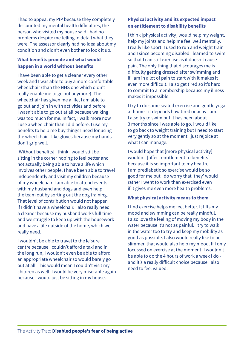I had to appeal my PIP because they completely discounted my mental health difficulties, the person who visited my house said I had no problems despite me telling in detail what they were. The assessor clearly had no idea about my condition and didn't even bother to look it up.

#### **What benefits provide and what would happen in a world without benefits**

I have been able to get a cleaner every other week and I was able to buy a more comfortable wheelchair (than the NHS one which didn't really enable me to go out anymore). The wheelchair has given me a life, I am able to go out and join in with activities and before I wasn't able to go out at all because walking was too much for me. In fact, I walk more now I use a wheelchair than I did before. I use my benefits to help me buy things I need for using the wheelchair - like gloves because my hands don't grip well.

[Without benefits] I think I would still be sitting in the corner hoping to feel better and not actually being able to have a life which involves other people. I have been able to travel independently and visit my children because of my wheelchair. I am able to attend events with my husband and dogs and even help the team out by sorting out the dog training. That level of contribution would not happen if I didn't have a wheelchair. I also really need a cleaner because my husband works full time and we struggle to keep up with the housework and have a life outside of the home, which we really need.

I wouldn't be able to travel to the leisure centre because I couldn't afford a taxi and in the long run, I wouldn't even be able to afford an appropriate wheelchair so would barely go out at all. This would mean I couldn't visit my children as well. I would be very miserable again because I would just be sitting in my house.

#### **Physical activity and its expected impact on entitlement to disability benefits**

I think [physical activity] would help my weight, help my joints and help me feel well mentally. I really like sport. I used to run and weight train and I since becoming disabled I learned to swim so that I can still exercise as it doesn't cause pain. The only thing that discourages me is difficulty getting dressed after swimming and if I am in a lot of pain to start with it makes it even more difficult. I also get tired so it's hard to commit to a membership because my illness makes it impossible.

I try to do some seated exercise and gentle yoga at home - it depends how tired or achy I am. I also try to swim but it has been about 3 months since I was able to go. I would like to go back to weight training but I need to start very gently so at the moment I just rejoice at what I can manage.

I would hope that [more physical activity] wouldn't [affect entitlement to benefits] because it is so important to my health. I am prediabetic so exercise would be so good for me but I do worry that 'they' would rather I went to work than exercised even if it gives me even more health problems.

#### **What physical activity means to them**

I find exercise helps me feel better. It lifts my mood and swimming can be really mindful. I also love the feeling of moving my body in the water because it's not as painful. I try to walk in the water too to try and keep my mobility as good as possible. I also would really like to be slimmer, that would also help my mood. If I only focussed on exercise at the moment, I wouldn't be able to do the 4 hours of work a week I do and it's a really difficult choice because I also need to feel valued.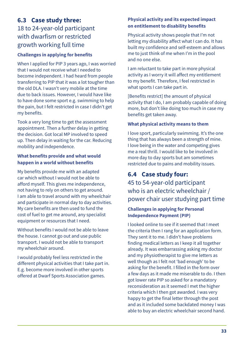# <span id="page-32-0"></span>**6.3 Case study three:** 18 to 24-year-old participant with dwarfism or restricted growth working full time

#### **Challenges in applying for benefits**

When I applied for PIP 3 years ago, I was worried that I would not receive what I needed to become independent. I had heard from people transferring to PIP that it was a lot tougher than the old DLA. I wasn't very mobile at the time due to back issues. However, I would have like to have done some sport e.g. swimming to help the pain, but I felt restricted in case I didn't get my benefits.

Took a very long time to get the assessment appointment. Then a further delay in getting the decision. Got local MP involved to speed up. Then delay in waiting for the car. Reducing mobility and independence.

#### **What benefits provide and what would happen in a world without benefits**

My benefits provide me with an adapted car which without I would not be able to afford myself. This gives me independence, not having to rely on others to get around. I am able to travel around with my wheelchair and participate in normal day to day activities. My care benefits are then used to fund the cost of fuel to get me around, any specialist equipment or resources that I need.

Without benefits I would not be able to leave the house. I cannot go out and use public transport. I would not be able to transport my wheelchair around.

I would probably feel less restricted in the different physical activities that I take part in. E.g. become more involved in other sports offered at Dwarf Sports Association games.

#### **Physical activity and its expected impact on entitlement to disability benefits**

Physical activity shows people that I'm not letting my disability affect what I can do. It has built my confidence and self-esteem and allows me to just think of me when I'm in the pool and no one else.

I am reluctant to take part in more physical activity as I worry it will affect my entitlement to my benefit. Therefore, I feel restricted in what sports I can take part in.

[Benefits restrict] the amount of physical activity that I do, I am probably capable of doing more, but don't like doing too much in case my benefits get taken away.

#### **What physical activity means to them**

I love sport, particularly swimming. It's the one thing that has always been a strength of mine. I love being in the water and competing gives me a real thrill. I would like to be involved in more day to day sports but am sometimes restricted due to pains and mobility issues.

# **6.4 Case study four:**

45 to 54-year-old participant who is an electric wheelchair / power chair user studying part time

#### **Challenges in applying for Personal Independence Payment (PIP)**

I looked online to see if it seemed that I meet the criteria then I rang for an application form. They sent it to me. I didn't have problems finding medical letters as I keep it all together already. It was embarrassing asking my doctor and my physiotherapist to give me letters as well though as I felt not 'bad enough' to be asking for the benefit. I filled in the form over a few days as it made me miserable to do. I then got lower rate PIP so asked for a mandatory reconsideration as it seemed I met the higher criteria which I then got awarded. I was very happy to get the final letter through the post and as it included some backdated money I was able to buy an electric wheelchair second hand.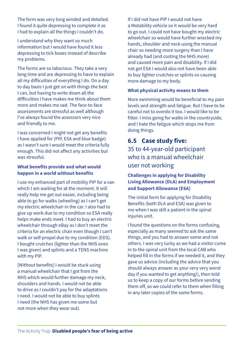<span id="page-33-0"></span>The form was very long winded and detailed. I found it quite depressing to complete it as I had to explain all the things I couldn't do.

I understand why they want so much information but I would have found it less depressing to tick boxes instead of describe my problems.

The forms are so laborious. They take a very long time and are depressing to have to explain all my difficulties of everything I do. On a day to day basis I just get on with things the best I can, but having to write down all the difficulties I have makes me think about them more and makes me sad. The face-to-face assessments are stressful as well although I've always found the assessors very nice and friendly to me.

I was concerned I might not get any benefits I have applied for (PIP, ESA and blue badge) as I wasn't sure I would meet the criteria fully enough. This did not affect any activities but was stressful.

#### **What benefits provide and what would happen in a world without benefits**

I use my enhanced part of mobility PIP for a van which I am waiting for at the moment. It will really help me get out easier, including being able to go for walks (wheeling) as I can't get my electric wheelchair in the car. I also had to give up work due to my condition so ESA really helps make ends meet. I had to buy an electric wheelchair through eBay as I don't meet the criteria for an electric chair even though I can't walk or self-propel due to my condition (EDS). I bought crutches (lighter than the NHS ones I was given) and splints and a TENS machine with my PIP.

[Without benefits] I would be stuck using a manual wheelchair that I got from the NHS which would further damage my neck, shoulders and hands. I would not be able to drive as I couldn't pay for the adaptations I need. I would not be able to buy splints I need (the NHS has given me some but not more when they wear out).

If I did not have PIP I would not have a Motability vehicle so it would be very hard to go out. I could not have bought my electric wheelchair so would have further wrecked my hands, shoulder and neck using the manual chair so needing more surgery than I have already had (and costing the NHS more) and caused more pain and disability. If I did not get ESA I would also not have been able to buy lighter crutches or splints so causing more damage to my body.

#### **What physical activity means to them**

More swimming would be beneficial to my pain levels and strength and fatigue. But I have to be careful not to overdo it too. I would like to be fitter. I miss going for walks in the countryside, and I hate the fatigue which stops me from doing things.

# **6.5 Case study five:**

35 to 44-year-old participant who is a manual wheelchair user not working

#### **Challenges in applying for Disability Living Allowance (DLA) and Employment and Support Allowance (ESA)**

The initial form for applying for Disability Benefits (both DLA and ESA) was given to me when I was still a patient in the spinal injuries unit.

I found the questions on the forms confusing, especially as many seemed to ask the same things, and you had to answer some and not others. I was very lucky as we had a visitor come in to the spinal unit from the local CAB who helped fill in the forms if we needed it, and they gave us advice (including the advice that you should always answer as your very very worst day if you wanted to get anything!), then told us to keep a copy of our forms before sending them off, so we could refer to them when filling in any later copies of the same forms.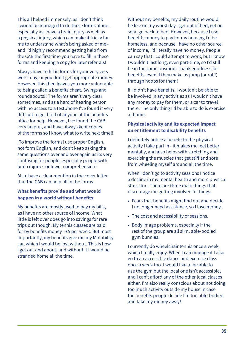This all helped immensely, as I don't think I would be managed to do these forms alone especially as I have a brain injury as well as a physical injury, which can make it tricky for me to understand what's being asked of me and I'd highly recommend getting help from the CAB the first time you have to fill in these forms and keeping a copy for later referrals!

Always have to fill in forms for your very very worst day, or you don't get appropriate money. However, this then leaves you more vulnerable to being called a benefits cheat. Swings and roundabouts!! The forms aren't very clear sometimes, and as a hard of hearing person with no access to a textphone I've found it very difficult to get hold of anyone at the benefits office for help. However, I've found the CAB very helpful, and have always kept copies of the forms so I know what to write next time!!

[To improve the forms] use proper English, not form English, and don't keep asking the same questions over and over again as its very confusing for people, especially people with brain injuries or lower comprehension!

Also, have a clear mention in the cover letter that the CAB can help fill in the forms.

#### **What benefits provide and what would happen in a world without benefits**

My benefits are mostly used to pay my bills, as I have no other source of income. What little is left over does go into savings for rare trips out though. My tennis classes are paid for by benefits money - £5 per week. But most importantly, my benefits give me my Motability car, which I would be lost without. This is how I get out and about, and without it I would be stranded home all the time.

Without my benefits, my daily routine would be like on my worst day - get out of bed, get on sofa, go back to bed. However, because I use benefits money to pay for my housing I'd be homeless, and because I have no other source of income, I'd literally have no money. People can say that I could attempt to work, but I know I wouldn't last long, even part-time, so I'd still be in the same position. Thank goodness for benefits, even if they make us jump (or roll!) through hoops for them!

If I didn't have benefits, I wouldn't be able to be involved in any activities as I wouldn't have any money to pay for them, or a car to travel there. The only thing I'd be able to do is exercise at home.

#### **Physical activity and its expected impact on entitlement to disability benefits**

I definitely notice a benefit to the physical activity I take part in - it makes me feel better mentally, and also helps with stretching and exercising the muscles that get stiff and sore from wheeling myself around all the time.

When I don't go to activity sessions I notice a decline in my mental health and more physical stress too. There are three main things that discourage me getting involved in things:

- Fears that benefits might find out and decide I no longer need assistance, so I lose money.
- The cost and accessibility of sessions.
- Body image problems, especially if the rest of the group are all slim, able-bodied gym bunnies!

I currently do wheelchair tennis once a week, which I really enjoy. When I can manage it I also go to an accessible dance and exercise class once a week too. I would like to be able to use the gym but the local one isn't accessible, and I can't afford any of the other local classes either. I'm also really conscious about not doing too much activity outside my house in case the benefits people decide I'm too able-bodied and take my money away!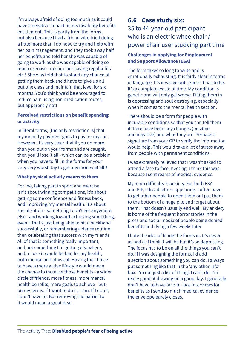<span id="page-35-0"></span>I'm always afraid of doing too much as it could have a negative impact on my disability benefits entitlement. This is partly from the forms, but also because I had a friend who tried doing a little more than I do now, to try and help with her pain management, and they took away half her benefits and told her she was capable of going to work as she was capable of doing so much exercise - despite her having regular fits etc.! She was told that to stand any chance of getting them back she'd have to give up all but one class and maintain that level for six months. You'd think we'd be encouraged to reduce pain using non-medication routes, but apparently not!

#### **Perceived restrictions on benefit spending or activity**

In literal terms, [the only restriction is] that my mobility payment goes to pay for my car. However, it's very clear that if you do more than you put on your forms and are caught, then you'll lose it all - which can be a problem when you have to fill in the forms for your very very worst day to get any money at all!!

#### **What physical activity means to them**

For me, taking part in sport and exercise isn't about winning competitions, it's about getting some confidence and fitness back, and improving my mental health. It's about socialisation - something I don't get anywhere else - and working toward achieving something, even if that's just being able to hit a backhand successfully, or remembering a dance routine, then celebrating that success with my friends. All of that is something really important, and not something I'm getting elsewhere, and to lose it would be bad for my health, both mental and physical. Having the choice to have a more active lifestyle would mean the chance to increase those benefits - a wider circle of friends, more fitness, more mental health benefits, more goals to achieve - but on my terms. If I want to do it, I can. If I don't, I don't have to. But removing the barrier to it would mean a great deal.

# **6.6 Case study six:** 35 to 44-year-old participant who is an electric wheelchair / power chair user studying part time

#### **Challenges in applying for Employment and Support Allowance (ESA)**

The form takes so long to write and is emotionally exhausting. It is fairly clear in terms of language. It's invasive but I guess it has to be. It's a complete waste of time. My condition is genetic and will only get worse. Filling them in is depressing and soul destroying, especially when it comes to the mental health section.

There should be a form for people with incurable conditions so that you can tell them if there have been any changes (positive and negative) and what they are. Perhaps a signature from your GP to verify the information would help. This would take a lot of stress away from people with permanent conditions.

I was extremely relieved that I wasn't asked to attend a face to face meeting. I think this was because I sent reams of medical evidence.

My main difficulty is anxiety. For both ESA and PIP, I dread letters appearing. I often have to get other people to open them or I put them to the bottom of a huge pile and forget about them. That doesn't usually end well. My anxiety is borne of the frequent horror stories in the press and social media of people being denied benefits and dying a few weeks later.

I hate the idea of filling the forms in. It's never as bad as I think it will be but it's so depressing. The focus has to be on all the things you can't do. If I was designing the forms, I'd add a section about something you can do. I always put something like that in the 'any other info' box. I'm not just a list of things I can't do. I'm really good at drawing on a good day. I generally don't have to have face-to-face interviews for benefits as I send so much medical evidence the envelope barely closes.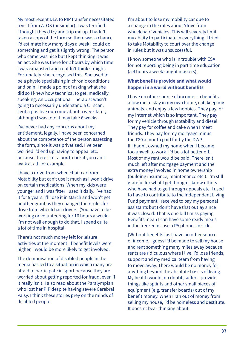My most recent DLA to PIP transfer necessitated a visit from ATOS (or similar). I was terrified. I thought they'd try and trip me up. I hadn't taken a copy of the form so there was a chance I'd estimate how many days a week I could do something and get it slightly wrong. The person who came was nice but I kept thinking it was an act. She was there for 2 hours by which time I was exhausted and couldn't think straight. Fortunately, she recognised this. She used to be a physio specialising in chronic conditions and pain. I made a point of asking what she did so I knew how technical to get, medically speaking. An Occupational Therapist wasn't going to necessarily understand a CT scan. I got a positive outcome about a week later, although I was told it may take 6 weeks.

I've never had any concerns about my entitlement, legally. I have been concerned about the competence of the person assessing the form, since it was privatised. I've been worried I'd end up having to appeal etc. because there isn't a box to tick if you can't walk at all, for example.

I have a drive-from-wheelchair car from Motability but can't use it much as I won't drive on certain medications. When my kids were younger and I was fitter I used it daily. I've had it for 9 years. I'll lose it in March and won't get another grant as they changed their rules for drive from wheelchair drivers. (You have to be working or volunteering for 16 hours a week - I'm not well enough to do that. I spend quite a lot of time in hospital.

There's not much money left for leisure activities at the moment. If benefit levels were higher, I would be more likely to get involved.

The demonisation of disabled people in the media has led to a situation in which many are afraid to participate in sport because they are worried about getting reported for fraud, even if it really isn't. I also read about the Paralympian who lost her PIP despite having severe Cerebral Palsy. I think these stories prey on the minds of disabled people.

I'm about to lose my mobility car due to a change in the rules about 'drive from wheelchair' vehicles. This will severely limit my ability to participate in everything. I tried to take Motability to court over the change in rules but it was unsuccessful.

I know someone who is in trouble with ESA for not reporting being in part time education (a 4 hours a week taught masters).

#### **What benefits provide and what would happen in a world without benefits**

I have no other source of income, so benefits allow me to stay in my own home, eat, keep my animals, and enjoy a few hobbies. They pay for my Internet which is so important. They pay for my vehicle through Motability and diesel. They pay for coffee and cake when I meet friends. They pay for my mortgage minus the £80 a month paid for by the DWP. If I hadn't owned my home when I became too unwell to work, I'd be a lot better off. Most of my rent would be paid. There isn't much left after mortgage payment and the extra money involved in home ownership (building insurance, maintenance etc.). I'm still grateful for what I get though. I know others who have had to go through appeals etc. I used to have to contribute to the Independent Living Fund payment I received to pay my personal assistants but I don't have that outlay since it was closed. That is one bill I miss paying. Benefits mean I can have some ready meals in the freezer in case a PA phones in sick.

[Without benefits] as I have no other source of income, I guess I'd be made to sell my house and rent something many miles away because rents are ridiculous where I live. I'd lose friends, support and my medical team from having to move away. There would be no money for anything beyond the absolute basics of living. My health would, no doubt, suffer. I provide things like splints and other small pieces of equipment (e.g. transfer boards) out of my benefit money. When I ran out of money from selling my house, I'd be homeless and destitute. It doesn't bear thinking about.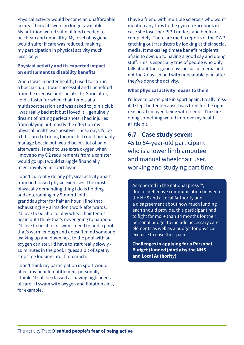<span id="page-37-0"></span>Physical activity would become an unaffordable luxury if benefits were no longer available. My nutrition would suffer if food needed to be cheap and unhealthy. My level of hygiene would suffer if care was reduced, making my participation in physical activity much less likely.

#### **Physical activity and its expected impact on entitlement to disability benefits**

When I was in better health, I used to co-run a boccia club. It was successful and I benefited from the exercise and social side. Soon after, I did a taster for wheelchair tennis at a multisport session and was asked to join a club. I was really bad at it but I loved it. I genuinely dreamt of hitting perfect shots. I had injuries from playing but mostly the effect on my physical health was positive. These days I'd be a bit scared of doing too much. I could probably manage boccia but would be in a lot of pain afterwards. I need to use extra oxygen when I move so my O2 requirements from a canister would go up. I would struggle financially to get involved in sport again.

I don't currently do any physical activity apart from bed-based physio exercises. The most physically demanding thing I do is holding and entertaining my 5-month old granddaughter for half an hour. I find that exhausting! My arms don't work afterwards. I'd love to be able to play wheelchair tennis again but I think that's never going to happen. I'd love to be able to swim. I need to find a pool that's warm enough and doesn't mind someone walking up and down next to the pool with an oxygen canister. I'd have to start really slowly - 10 minutes in the pool. I guess a bit of apathy stops me looking into it too much.

I don't think my participation in sport would affect my benefit entitlement personally. I think I'd still be classed as having high needs of care if I swam with oxygen and flotation aids, for example.

I have a friend with multiple sclerosis who won't mention any trips to the gym on Facebook in case she loses her PIP. I understand her fears completely. There are media reports of the DWP catching out fraudsters by looking at their social media. It makes legitimate benefit recipients afraid to own up to having a good say and doing stuff. This is especially true of people who only talk about their good days on social media and not the 2 days in bed with unbearable pain after they've done the activity.

#### **What physical activity means to them**

I'd love to participate in sport again. I really miss it. I slept better because I was tired for the right reasons. I enjoyed being with friends. I'm sure doing something would improve my health a little bit.

## **6.7 Case study seven:**

45 to 54-year-old participant who is a lower limb amputee and manual wheelchair user, working and studying part time

As reported in the national press **[49](#page-42-22)**, due to ineffective communication between the NHS and a Local Authority and a disagreement about how much funding each should provide, this participant had to fight for more than 14 months for their personal budget to include necessary care elements as well as a budget for physical exercise to ease their pain.

**Challenges in applying for a Personal Budget (funded jointly by the NHS and Local Authority)**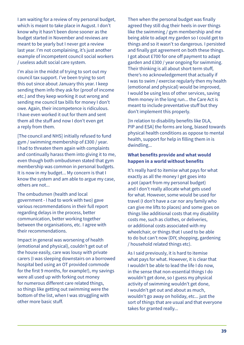I am waiting for a review of my personal budget, which is meant to take place in August. I don't know why it hasn't been done sooner as the budget started in November and reviews are meant to be yearly but I never got a review last year. I'm not complaining, it's just another example of incompetent council social workers / useless adult social care system.

I'm also in the midst of trying to sort out my council tax support. I've been trying to sort this out since about January this year. I keep sending them info they ask for (proof of income etc.) and they keep working it out wrong and sending me council tax bills for money I don't owe. Again, their incompetence is ridiculous. I have even worked it out for them and sent them all the stuff and now I don't even get a reply from them.

[The council and NHS] initially refused to fund gym / swimming membership of £300 / year. I had to threaten them again with complaints and continually harass them into giving it to me, even though both ombudsmen stated that gym membership was common in personal budgets. It is now in my budget... My concern is that I know the system and am able to argue my case, others are not...

The ombudsmen (health and local government - I had to work with two) gave various recommendations in their full report regarding delays in the process, better communication, better working together between the organisations, etc. I agree with their recommendations.

Impact in general was worsening of health (emotional and physical), couldn't get out of the house easily, care was lousy with private carers (I was sleeping downstairs on a borrowed hospital bed using an OT provided commode for the first 9 months, for example!), my savings were all used up with forking out money for numerous different care related things, so things like getting out swimming were the bottom of the list, when I was struggling with other more basic stuff.

Then when the personal budget was finally agreed they still dug their heels in over things like the swimming / gym membership and me being able to adapt my garden so I could get to things and so it wasn't so dangerous. I persisted and finally got agreement on both these things. I got about £700 for one off payment to adapt garden and £300 / year ongoing for swimming. Their thinking is all about short term stuff, there's no acknowledgement that actually if I was to swim / exercise regularly then my health (emotional and physical) would be improved, I would be using less of other services, saving them money in the long run... the Care Act is meant to include preventative stuff but they don't implement this properly.

[In relation to disability benefits like DLA, PIP and ESA] the forms are long, biased towards physical health conditions as oppose to mental health, support for help in filling them in is dwindling...

#### **What benefits provide and what would happen in a world without benefits**

It's really hard to itemise what pays for what exactly as all the money I get goes into a pot (apart from my personal budget) and I don't really allocate what gets used for what. However, some would be used for travel (I don't have a car nor any family who can give me lifts to places) and some goes on things like additional costs that my disability costs me, such as clothes, or deliveries, or additional costs associated with my wheelchair, or things that I used to be able to do but can't now (DIY, shopping, gardening / household related things etc).

As I said previously, it is hard to itemise what pays for what. However, it is clear that I wouldn't be able to lead the life I do now, in the sense that non-essential things I do wouldn't get done, so I guess my physical activity of swimming wouldn't get done, I wouldn't get out and about as much, wouldn't go away on holiday, etc... just the sort of things that are usual and that everyone takes for granted really...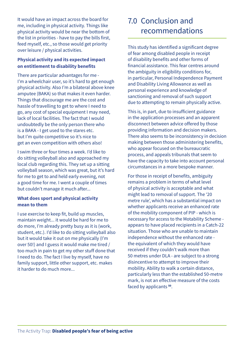<span id="page-39-0"></span>It would have an impact across the board for me, including in physical activity. Things like physical activity would be near the bottom of the list in priorities - have to pay the bills first, feed myself, etc., so those would get priority over leisure / physical activities.

#### **Physical activity and its expected impact on entitlement to disability benefits**

There are particular advantages for me - I'm a wheelchair user, so it's hard to get enough physical activity. Also I'm a bilateral above knee amputee (BAKA) so that makes it even harder. Things that discourage me are the cost and hassle of travelling to get to where I need to go, any cost of special equipment I may need, lack of local facilities. The fact that I would undoubtedly be the only person there who is a BAKA - I get used to the stares etc. but I'm quite competitive so it's nice to get an even competition with others also!

I swim three or four times a week. I'd like to do sitting volleyball also and approached my local club regarding this. They set up a sitting volleyball season, which was great, but it's hard for me to get to and held early evening, not a good time for me. I went a couple of times but couldn't manage it much after...

#### **What does sport and physical activity mean to them**

I use exercise to keep fit, build up muscles, maintain weight... it would be hard for me to do more, I'm already pretty busy as it is (work, student, etc.). I'd like to do sitting volleyball also but it would take it out on me physically (I'm over 50!) and I guess it would make me tired / too much in pain to get my other stuff done that I need to do. The fact I live by myself, have no family support, little other support, etc. makes it harder to do much more...

# 7.0 Conclusion and recommendations

This study has identified a significant degree of fear among disabled people in receipt of disability benefits and other forms of financial assistance. This fear centres around the ambiguity in eligibility conditions for, in particular, Personal Independence Payment and Disability Living Allowance as well as personal experience and knowledge of sanctioning and removal of such support due to attempting to remain physically active.

This is, in part, due to insufficient guidance in the application processes and an apparent disconnect between advice offered by those providing information and decision makers. There also seems to be inconsistency in decision making between those administering benefits, who appear focused on the bureaucratic process, and appeals tribunals that seem to have the capacity to take into account personal circumstances in a more bespoke manner.

For those in receipt of benefits, ambiguity remains a problem in terms of what level of physical activity is acceptable and what might lead to removal of support. The '20 metre rule', which has a substantial impact on whether applicants receive an enhanced rate of the mobility component of PIP - which is necessary for access to the Motability Scheme appears to have placed recipients in a Catch-22 situation. Those who are unable to maintain independence without the enhanced rate the equivalent of which they would have received if they couldn't walk more than 50 metres under DLA - are subject to a strong disincentive to attempt to improve their mobility. Ability to walk a certain distance, particularly less than the established 50-metre mark, is not an effective measure of the costs faced by applicants **[50](#page-42-23)**.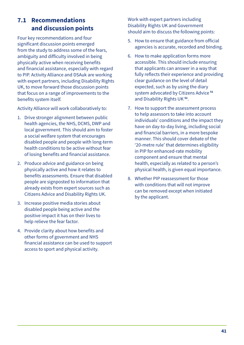# <span id="page-40-0"></span>**7.1 Recommendations and discussion points**

Four key recommendations and four significant discussion points emerged from the study to address some of the fears, ambiguity and difficulty involved in being physically active when receiving benefits and financial assistance, especially with regard to PIP. Activity Alliance and DSAuk are working with expert partners, including Disability Rights UK, to move forward those discussion points that focus on a range of improvements to the benefits system itself.

Activity Alliance will work collaboratively to:

- 1. Drive stronger alignment between public health agencies, the NHS, DCMS, DWP and local government. This should aim to foster a social welfare system that encourages disabled people and people with long-term health conditions to be active without fear of losing benefits and financial assistance.
- 2. Produce advice and guidance on being physically active and how it relates to benefits assessments. Ensure that disabled people are signposted to information that already exists from expert sources such as Citizens Advice and Disability Rights UK.
- 3. Increase positive media stories about disabled people being active and the positive impact it has on their lives to help relieve the fear factor.
- 4. Provide clarity about how benefits and other forms of government and NHS financial assistance can be used to support access to sport and physical activity.

Work with expert partners including Disability Rights UK and Government should aim to discuss the following points:

- 5. How to ensure that guidance from official agencies is accurate, recorded and binding.
- 6. How to make application forms more accessible. This should include ensuring that applicants can answer in a way that fully reflects their experience and providing clear guidance on the level of detail expected, such as by using the diary system advocated by Citizens Advice **[51](#page-42-24)** and Disability Rights UK **[52](#page-42-25)**.
- 7. How to support the assessment process to help assessors to take into account individuals' conditions and the impact they have on day-to-day living, including social and financial barriers, in a more bespoke manner. This should cover debate of the '20-metre rule' that determines eligibility in PIP for enhanced-rate mobility component and ensure that mental health, especially as related to a person's physical health, is given equal importance.
- 8. Whether PIP reassessment for those with conditions that will not improve can be removed except when initiated by the applicant.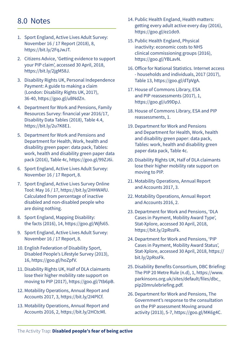# <span id="page-41-0"></span>8.0 Notes

- 1. Sport England, Active Lives Adult Survey: November 16 / 17 Report (2018), 8, https://bit.ly/2FqJwJT.
- <span id="page-41-1"></span>2. Citizens Advice, 'Getting evidence to support your PIP claim', accessed 30 April, 2018, https://bit.ly/2jgM58J.
- <span id="page-41-2"></span>3. Disability Rights UK, Personal Independence Payment: A guide to making a claim (London: Disability Rights UK, 2017), 36-40, https://goo.gl/uBNdZn.
- <span id="page-41-3"></span>4. Department for Work and Pensions, Family Resources Survey: financial year 2016/17, Disability Data Tables (2018), Table 4.4, https://bit.ly/2u7K8E1.
- <span id="page-41-4"></span>5. Department for Work and Pensions and Department for Health, Work, health and disability green paper: data pack, Tables: work, health and disability green paper data pack (2016), Table 4c, https://goo.gl/99ZJ6i.
- <span id="page-41-5"></span>6. Sport England, Active Lives Adult Survey: November 16 / 17 Report, 8.
- <span id="page-41-6"></span>7. Sport England, Active Lives Survey Online Tool: May 16 / 17, https://bit.ly/2HHWAfU. Calculated from percentage of inactive disabled and non-disabled people who are doing nothing.
- <span id="page-41-7"></span>8. Sport England, Mapping Disability: the facts (2016), 14, https://goo.gl/Wjfs65.
- <span id="page-41-8"></span>9. Sport England, Active Lives Adult Survey: November 16 / 17 Report, 8.
- <span id="page-41-9"></span>10. English Federation of Disability Sport, Disabled People's Lifestyle Survey (2013), 16, https://goo.gl/hoZpfV.
- <span id="page-41-10"></span>11. Disability Rights UK, Half of DLA claimants lose their higher mobility rate support on moving to PIP (2017), https://goo.gl/7tb6pB.
- <span id="page-41-11"></span>12. Motability Operations, Annual Report and Accounts 2017, 3, https://bit.ly/2I4PlCf.
- <span id="page-41-12"></span>13. Motability Operations, Annual Report and Accounts 2016, 2, https://bit.ly/2HCtcMl.
- <span id="page-41-13"></span>14. Public Health England, Health matters: getting every adult active every day (2016), https://goo.gl/ez1do9.
- <span id="page-41-14"></span>15. Public Health England, Physical inactivity: economic costs to NHS clinical commissioning groups (2016), https://goo.gl/YBLavN.
- <span id="page-41-15"></span>16. Office for National Statistics. Internet access - households and individuals, 2017 (2017), Table 13, https://goo.gl/dTpVgA.
- <span id="page-41-16"></span>17. House of Commons Library, ESA and PIP reassessments (2017), 1, https://goo.gl/u99DpJ.
- <span id="page-41-17"></span>18. House of Commons Library, ESA and PIP reassessments, 1.
- <span id="page-41-18"></span>19. Department for Work and Pensions and Department for Health, Work, health and disability green paper: data pack, Tables: work, health and disability green paper data pack, Table 4c.
- <span id="page-41-19"></span>20. Disability Rights UK, Half of DLA claimants lose their higher mobility rate support on moving to PIP.
- <span id="page-41-20"></span>21. Motability Operations, Annual Report and Accounts 2017, 3.
- <span id="page-41-21"></span>22. Motability Operations, Annual Report and Accounts 2016, 2.
- <span id="page-41-24"></span>23. Department for Work and Pensions, 'DLA Cases in Payment, Mobility Award Type', Stat-Xplore, accessed 30 April, 2018, https://bit.ly/2pRssFk.
- <span id="page-41-25"></span>24. Department for Work and Pensions, 'PIP Cases in Payment, Mobility Award Status', Stat-Xplore, accessed 30 April, 2018, https:// bit.ly/2pRssFk.
- <span id="page-41-22"></span>25. Disability Benefits Consortium, DBC Briefing: The PIP 20 Metre Rule (n.d), 1, https://www. parkinsons.org.uk/sites/default/files/dbc\_ pip20mrulebriefing.pdf.
- <span id="page-41-23"></span>26. Department for Work and Pensions, The Government's response to the consultation on the PIP assessment Moving around activity (2013), 5-7, https://goo.gl/MK6g4C.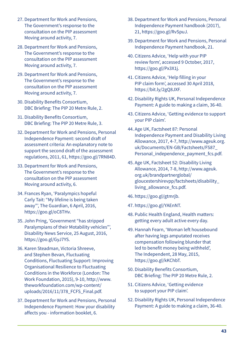- <span id="page-42-1"></span>27. Department for Work and Pensions, The Government's response to the consultation on the PIP assessment Moving around activity, 7.
- <span id="page-42-2"></span>28. Department for Work and Pensions, The Government's response to the consultation on the PIP assessment Moving around activity, 7.
- <span id="page-42-0"></span>29. Department for Work and Pensions, The Government's response to the consultation on the PIP assessment Moving around activity, 7.
- <span id="page-42-3"></span>30. Disability Benefits Consortium, DBC Briefing: The PIP 20 Metre Rule, 2.
- <span id="page-42-4"></span>31. Disability Benefits Consortium, DBC Briefing: The PIP 20 Metre Rule, 3.
- <span id="page-42-5"></span>32. Department for Work and Pensions, Personal Independence Payment: second draft of assessment criteria: An explanatory note to support the second draft of the assessment regulations, 2011, 61, https://goo.gl/7RN84D.
- <span id="page-42-6"></span>33. Department for Work and Pensions, The Government's response to the consultation on the PIP assessment Moving around activity, 6.
- <span id="page-42-11"></span>34. Frances Ryan, 'Paralympics hopeful Carly Tait: "My lifeline is being taken away"', The Guardian, 6 April, 2016, https://goo.gl/oC8THv.
- <span id="page-42-7"></span>35. John Pring, 'Government "has stripped Paralympians of their Motability vehicles"', Disability News Service, 25 August, 2016, https://goo.gl/GyJ7YS.
- <span id="page-42-8"></span>36. Karen Steadman, Victoria Shreeve, and Stephen Bevan, Fluctuating Conditions, Fluctuating Support: Improving Organisational Resilience to Fluctuating Conditions in the Workforce (London: The Work Foundation, 2015), 9-10, http://www. theworkfoundation.com/wp-content/ uploads/2016/11/378\_FCFS\_Final.pdf.
- <span id="page-42-9"></span>37. Department for Work and Pensions, Personal Independence Payment: How your disability affects you - information booklet, 6.
- <span id="page-42-10"></span>38. Department for Work and Pensions, Personal Independence Payment handbook (2017), 21, https://goo.gl/RvSpuJ.
- <span id="page-42-12"></span>39. Department for Work and Pensions, Personal Independence Payment handbook, 21.
- <span id="page-42-16"></span>40. Citizens Advice, 'Help with your PIP review form', accessed 9 October, 2017, https://goo.gl/Px3X1j.
- <span id="page-42-15"></span>41. Citizens Advice, 'Help filling in your PIP claim form', accessed 30 April 2018, https://bit.ly/2gQ8JXF.
- <span id="page-42-13"></span>42. Disability Rights UK, Personal Independence Payment: A guide to making a claim, 36-40.
- <span id="page-42-14"></span>43. Citizens Advice, 'Getting evidence to support your PIP claim'.
- <span id="page-42-17"></span>44. Age UK, Factsheet 87: Personal Independence Payment and Disability Living Allowance, 2017, 4-7, http://www.ageuk.org. uk/Documents/EN-GB/Factsheets/FS87\_ Personal\_independence\_payment\_fcs.pdf.
- <span id="page-42-18"></span>45. Age UK, Factsheet 52: Disability Living Allowance, 2014, 7-8, http://www.ageuk. org.uk/brandpartnerglobal/ gloucestershirevpp/factsheets/disability\_ living\_allowance\_fcs.pdf.
- <span id="page-42-19"></span>46. https://goo.gl/gtmrjb.
- <span id="page-42-20"></span>47. https://goo.gl/YAEnNT.
- <span id="page-42-21"></span>48. Public Health England, Health matters: getting every adult active every day.
- <span id="page-42-22"></span>49. Hannah Fearn, 'Woman left housebound after having legs amputated receives compensation following blunder that led to benefit money being withheld', The Independent, 28 May, 2015, https://goo.gl/kKChbT.
- <span id="page-42-23"></span>50. Disability Benefits Consortium, DBC Briefing: The PIP 20 Metre Rule, 2.
- <span id="page-42-24"></span>51. Citizens Advice, 'Getting evidence to support your PIP claim'.
- <span id="page-42-25"></span>52. Disability Rights UK, Personal Independence Payment: A guide to making a claim, 36-40.